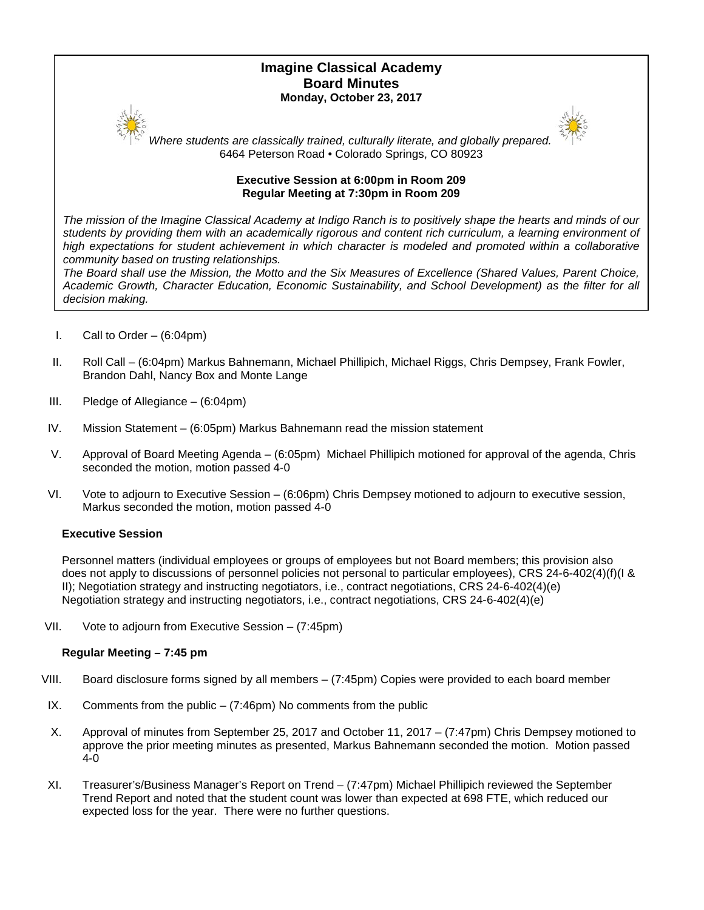# **Imagine Classical Academy Board Minutes Monday, October 23, 2017**





*Where students are classically trained, culturally literate, and globally prepared.* 6464 Peterson Road • Colorado Springs, CO 80923

## **Executive Session at 6:00pm in Room 209 Regular Meeting at 7:30pm in Room 209**

*The mission of the Imagine Classical Academy at Indigo Ranch is to positively shape the hearts and minds of our students by providing them with an academically rigorous and content rich curriculum, a learning environment of*  high expectations for student achievement in which character is modeled and promoted within a collaborative *community based on trusting relationships.*

*The Board shall use the Mission, the Motto and the Six Measures of Excellence (Shared Values, Parent Choice, Academic Growth, Character Education, Economic Sustainability, and School Development) as the filter for all decision making.*

- I. Call to Order  $-$  (6:04pm)
- II. Roll Call (6:04pm) Markus Bahnemann, Michael Phillipich, Michael Riggs, Chris Dempsey, Frank Fowler, Brandon Dahl, Nancy Box and Monte Lange
- III. Pledge of Allegiance (6:04pm)
- IV. Mission Statement (6:05pm) Markus Bahnemann read the mission statement
- V. Approval of Board Meeting Agenda (6:05pm) Michael Phillipich motioned for approval of the agenda, Chris seconded the motion, motion passed 4-0
- VI. Vote to adjourn to Executive Session (6:06pm) Chris Dempsey motioned to adjourn to executive session, Markus seconded the motion, motion passed 4-0

## **Executive Session**

Personnel matters (individual employees or groups of employees but not Board members; this provision also does not apply to discussions of personnel policies not personal to particular employees), CRS 24-6-402(4)(f)(I & II); Negotiation strategy and instructing negotiators, i.e., contract negotiations, CRS 24-6-402(4)(e) Negotiation strategy and instructing negotiators, i.e., contract negotiations, CRS 24-6-402(4)(e)

VII. Vote to adjourn from Executive Session – (7:45pm)

### **Regular Meeting – 7:45 pm**

- VIII. Board disclosure forms signed by all members (7:45pm) Copies were provided to each board member
- IX. Comments from the public  $-$  (7:46pm) No comments from the public
- X. Approval of minutes from September 25, 2017 and October 11, 2017 (7:47pm) Chris Dempsey motioned to approve the prior meeting minutes as presented, Markus Bahnemann seconded the motion. Motion passed 4-0
- XI. Treasurer's/Business Manager's Report on Trend (7:47pm) Michael Phillipich reviewed the September Trend Report and noted that the student count was lower than expected at 698 FTE, which reduced our expected loss for the year. There were no further questions.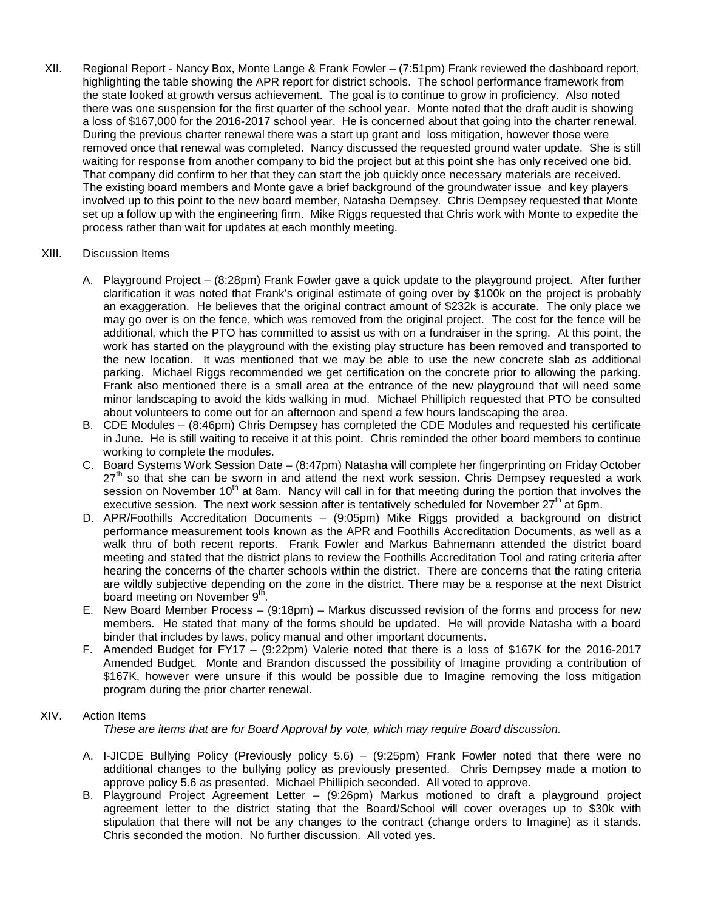XII. Regional Report - Nancy Box, Monte Lange & Frank Fowler – (7:51pm) Frank reviewed the dashboard report, highlighting the table showing the APR report for district schools. The school performance framework from the state looked at growth versus achievement. The goal is to continue to grow in proficiency. Also noted there was one suspension for the first quarter of the school year. Monte noted that the draft audit is showing a loss of \$167,000 for the 2016-2017 school year. He is concerned about that going into the charter renewal. During the previous charter renewal there was a start up grant and loss mitigation, however those were removed once that renewal was completed. Nancy discussed the requested ground water update. She is still waiting for response from another company to bid the project but at this point she has only received one bid. That company did confirm to her that they can start the job quickly once necessary materials are received. The existing board members and Monte gave a brief background of the groundwater issue and key players involved up to this point to the new board member, Natasha Dempsey. Chris Dempsey requested that Monte set up a follow up with the engineering firm. Mike Riggs requested that Chris work with Monte to expedite the process rather than wait for updates at each monthly meeting.

## XIII. Discussion Items

- A. Playground Project (8:28pm) Frank Fowler gave a quick update to the playground project. After further clarification it was noted that Frank's original estimate of going over by \$100k on the project is probably an exaggeration. He believes that the original contract amount of \$232k is accurate. The only place we may go over is on the fence, which was removed from the original project. The cost for the fence will be additional, which the PTO has committed to assist us with on a fundraiser in the spring. At this point, the work has started on the playground with the existing play structure has been removed and transported to the new location. It was mentioned that we may be able to use the new concrete slab as additional parking. Michael Riggs recommended we get certification on the concrete prior to allowing the parking. Frank also mentioned there is a small area at the entrance of the new playground that will need some minor landscaping to avoid the kids walking in mud. Michael Phillipich requested that PTO be consulted about volunteers to come out for an afternoon and spend a few hours landscaping the area.
- B. CDE Modules (8:46pm) Chris Dempsey has completed the CDE Modules and requested his certificate in June. He is still waiting to receive it at this point. Chris reminded the other board members to continue working to complete the modules.
- C. Board Systems Work Session Date (8:47pm) Natasha will complete her fingerprinting on Friday October  $27<sup>th</sup>$  so that she can be sworn in and attend the next work session. Chris Dempsey requested a work session on November 10<sup>th</sup> at 8am. Nancy will call in for that meeting during the portion that involves the executive session. The next work session after is tentatively scheduled for November  $27<sup>th</sup>$  at 6pm.
- D. APR/Foothills Accreditation Documents (9:05pm) Mike Riggs provided a background on district performance measurement tools known as the APR and Foothills Accreditation Documents, as well as a walk thru of both recent reports. Frank Fowler and Markus Bahnemann attended the district board meeting and stated that the district plans to review the Foothills Accreditation Tool and rating criteria after hearing the concerns of the charter schools within the district. There are concerns that the rating criteria are wildly subjective depending on the zone in the district. There may be a response at the next District board meeting on November 9<sup>th</sup>.
- E. New Board Member Process (9:18pm) Markus discussed revision of the forms and process for new members. He stated that many of the forms should be updated. He will provide Natasha with a board binder that includes by laws, policy manual and other important documents.
- F. Amended Budget for FY17 (9:22pm) Valerie noted that there is a loss of \$167K for the 2016-2017 Amended Budget. Monte and Brandon discussed the possibility of Imagine providing a contribution of \$167K, however were unsure if this would be possible due to Imagine removing the loss mitigation program during the prior charter renewal.

## XIV. Action Items

*These are items that are for Board Approval by vote, which may require Board discussion.*

- A. I-JICDE Bullying Policy (Previously policy 5.6) (9:25pm) Frank Fowler noted that there were no additional changes to the bullying policy as previously presented. Chris Dempsey made a motion to approve policy 5.6 as presented. Michael Phillipich seconded. All voted to approve.
- B. Playground Project Agreement Letter (9:26pm) Markus motioned to draft a playground project agreement letter to the district stating that the Board/School will cover overages up to \$30k with stipulation that there will not be any changes to the contract (change orders to Imagine) as it stands. Chris seconded the motion. No further discussion. All voted yes.